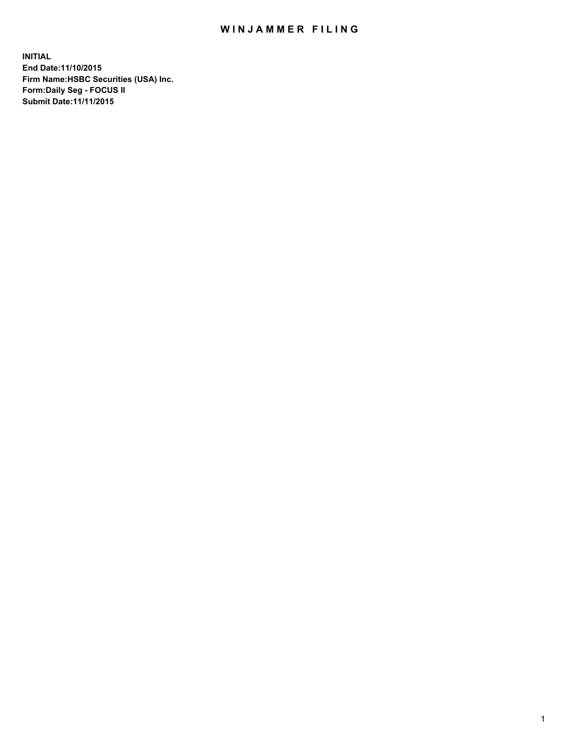## WIN JAMMER FILING

**INITIAL End Date:11/10/2015 Firm Name:HSBC Securities (USA) Inc. Form:Daily Seg - FOCUS II Submit Date:11/11/2015**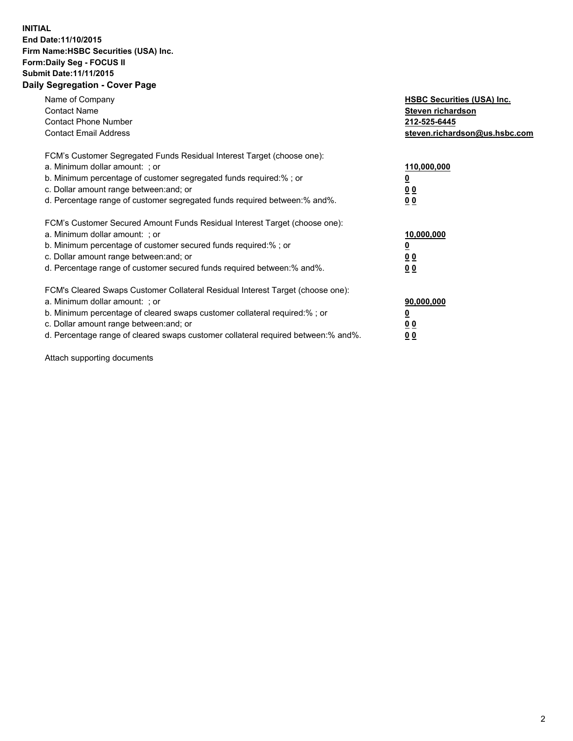## **INITIAL End Date:11/10/2015 Firm Name:HSBC Securities (USA) Inc. Form:Daily Seg - FOCUS II Submit Date:11/11/2015 Daily Segregation - Cover Page**

| Name of Company<br><b>Contact Name</b><br><b>Contact Phone Number</b><br><b>Contact Email Address</b>                                                                                                                                                                                                                          | <b>HSBC Securities (USA) Inc.</b><br>Steven richardson<br>212-525-6445<br>steven.richardson@us.hsbc.com |
|--------------------------------------------------------------------------------------------------------------------------------------------------------------------------------------------------------------------------------------------------------------------------------------------------------------------------------|---------------------------------------------------------------------------------------------------------|
| FCM's Customer Segregated Funds Residual Interest Target (choose one):<br>a. Minimum dollar amount: ; or<br>b. Minimum percentage of customer segregated funds required:%; or<br>c. Dollar amount range between: and; or<br>d. Percentage range of customer segregated funds required between:% and%.                          | 110,000,000<br><u>0</u><br>0 <sub>0</sub><br>0 <sub>0</sub>                                             |
| FCM's Customer Secured Amount Funds Residual Interest Target (choose one):<br>a. Minimum dollar amount: ; or<br>b. Minimum percentage of customer secured funds required:%; or<br>c. Dollar amount range between: and; or<br>d. Percentage range of customer secured funds required between:% and%.                            | 10,000,000<br><u>0</u><br>0 <sub>0</sub><br>0 <sub>0</sub>                                              |
| FCM's Cleared Swaps Customer Collateral Residual Interest Target (choose one):<br>a. Minimum dollar amount: ; or<br>b. Minimum percentage of cleared swaps customer collateral required:% ; or<br>c. Dollar amount range between: and; or<br>d. Percentage range of cleared swaps customer collateral required between:% and%. | 90,000,000<br>0 <sub>0</sub><br>00                                                                      |

Attach supporting documents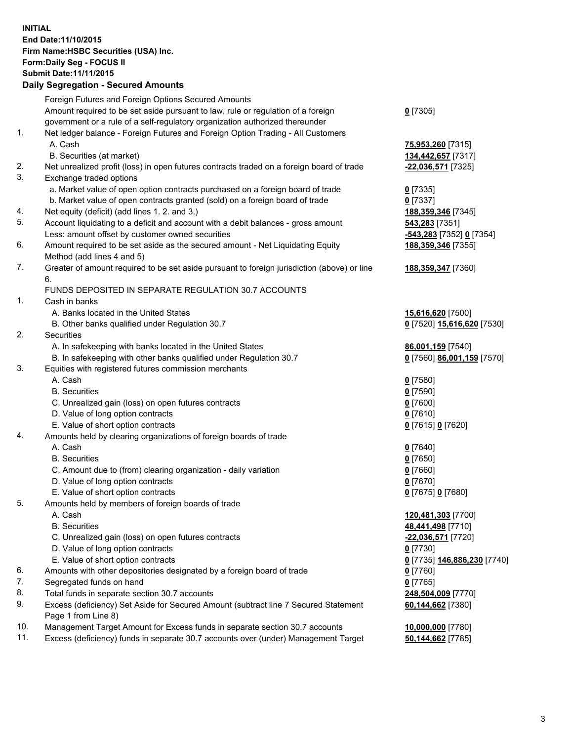**INITIAL End Date:11/10/2015 Firm Name:HSBC Securities (USA) Inc. Form:Daily Seg - FOCUS II Submit Date:11/11/2015 Daily Segregation - Secured Amounts**

## Foreign Futures and Foreign Options Secured Amounts Amount required to be set aside pursuant to law, rule or regulation of a foreign government or a rule of a self-regulatory organization authorized thereunder **0** [7305] 1. Net ledger balance - Foreign Futures and Foreign Option Trading - All Customers A. Cash **75,953,260** [7315] B. Securities (at market) **134,442,657** [7317] 2. Net unrealized profit (loss) in open futures contracts traded on a foreign board of trade **-22,036,571** [7325] 3. Exchange traded options a. Market value of open option contracts purchased on a foreign board of trade **0** [7335] b. Market value of open contracts granted (sold) on a foreign board of trade **0** [7337] 4. Net equity (deficit) (add lines 1. 2. and 3.) **188,359,346** [7345] 5. Account liquidating to a deficit and account with a debit balances - gross amount **543,283** [7351] Less: amount offset by customer owned securities **-543,283** [7352] **0** [7354] 6. Amount required to be set aside as the secured amount - Net Liquidating Equity Method (add lines 4 and 5) **188,359,346** [7355] 7. Greater of amount required to be set aside pursuant to foreign jurisdiction (above) or line 6. **188,359,347** [7360] FUNDS DEPOSITED IN SEPARATE REGULATION 30.7 ACCOUNTS 1. Cash in banks A. Banks located in the United States **15,616,620** [7500] B. Other banks qualified under Regulation 30.7 **0** [7520] **15,616,620** [7530] 2. Securities A. In safekeeping with banks located in the United States **86,001,159** [7540] B. In safekeeping with other banks qualified under Regulation 30.7 **0** [7560] **86,001,159** [7570] 3. Equities with registered futures commission merchants A. Cash **0** [7580] B. Securities **0** [7590] C. Unrealized gain (loss) on open futures contracts **0** [7600] D. Value of long option contracts **0** [7610] E. Value of short option contracts **0** [7615] **0** [7620] 4. Amounts held by clearing organizations of foreign boards of trade A. Cash **0** [7640] B. Securities **0** [7650] C. Amount due to (from) clearing organization - daily variation **0** [7660] D. Value of long option contracts **0** [7670] E. Value of short option contracts **0** [7675] **0** [7680] 5. Amounts held by members of foreign boards of trade A. Cash **120,481,303** [7700] B. Securities **48,441,498** [7710] C. Unrealized gain (loss) on open futures contracts **-22,036,571** [7720] D. Value of long option contracts **0** [7730] E. Value of short option contracts **0** [7735] **146,886,230** [7740] 6. Amounts with other depositories designated by a foreign board of trade **0** [7760] 7. Segregated funds on hand **0** [7765] 8. Total funds in separate section 30.7 accounts **248,504,009** [7770] 9. Excess (deficiency) Set Aside for Secured Amount (subtract line 7 Secured Statement Page 1 from Line 8) **60,144,662** [7380] 10. Management Target Amount for Excess funds in separate section 30.7 accounts **10,000,000** [7780] 11. Excess (deficiency) funds in separate 30.7 accounts over (under) Management Target **50,144,662** [7785]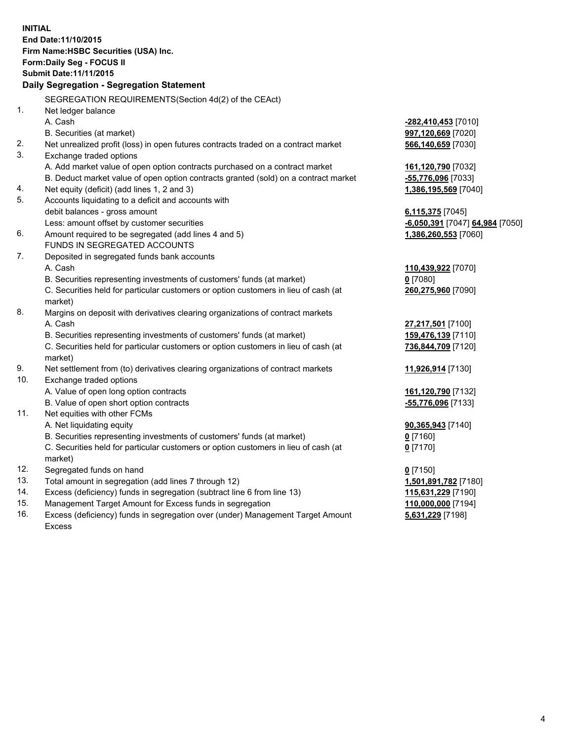**INITIAL End Date:11/10/2015 Firm Name:HSBC Securities (USA) Inc. Form:Daily Seg - FOCUS II Submit Date:11/11/2015 Daily Segregation - Segregation Statement** SEGREGATION REQUIREMENTS(Section 4d(2) of the CEAct) 1. Net ledger balance A. Cash **-282,410,453** [7010] B. Securities (at market) **997,120,669** [7020] 2. Net unrealized profit (loss) in open futures contracts traded on a contract market **566,140,659** [7030] 3. Exchange traded options A. Add market value of open option contracts purchased on a contract market **161,120,790** [7032] B. Deduct market value of open option contracts granted (sold) on a contract market **-55,776,096** [7033] 4. Net equity (deficit) (add lines 1, 2 and 3) **1,386,195,569** [7040] 5. Accounts liquidating to a deficit and accounts with debit balances - gross amount **6,115,375** [7045] Less: amount offset by customer securities **and the securities <b>-6,050,391** [7047] **64,984** [7050] 6. Amount required to be segregated (add lines 4 and 5) **1,386,260,553** [7060] FUNDS IN SEGREGATED ACCOUNTS 7. Deposited in segregated funds bank accounts A. Cash **110,439,922** [7070] B. Securities representing investments of customers' funds (at market) **0** [7080] C. Securities held for particular customers or option customers in lieu of cash (at market) **260,275,960** [7090] 8. Margins on deposit with derivatives clearing organizations of contract markets A. Cash **27,217,501** [7100] B. Securities representing investments of customers' funds (at market) **159,476,139** [7110] C. Securities held for particular customers or option customers in lieu of cash (at market) **736,844,709** [7120] 9. Net settlement from (to) derivatives clearing organizations of contract markets **11,926,914** [7130] 10. Exchange traded options A. Value of open long option contracts **161,120,790** [7132] B. Value of open short option contracts **-55,776,096** [7133] 11. Net equities with other FCMs A. Net liquidating equity **90,365,943** [7140] B. Securities representing investments of customers' funds (at market) **0** [7160] C. Securities held for particular customers or option customers in lieu of cash (at market) **0** [7170] 12. Segregated funds on hand **0** [7150] 13. Total amount in segregation (add lines 7 through 12) **1,501,891,782** [7180] 14. Excess (deficiency) funds in segregation (subtract line 6 from line 13) **115,631,229** [7190] 15. Management Target Amount for Excess funds in segregation **110,000,000** [7194]

16. Excess (deficiency) funds in segregation over (under) Management Target Amount Excess

**5,631,229** [7198]